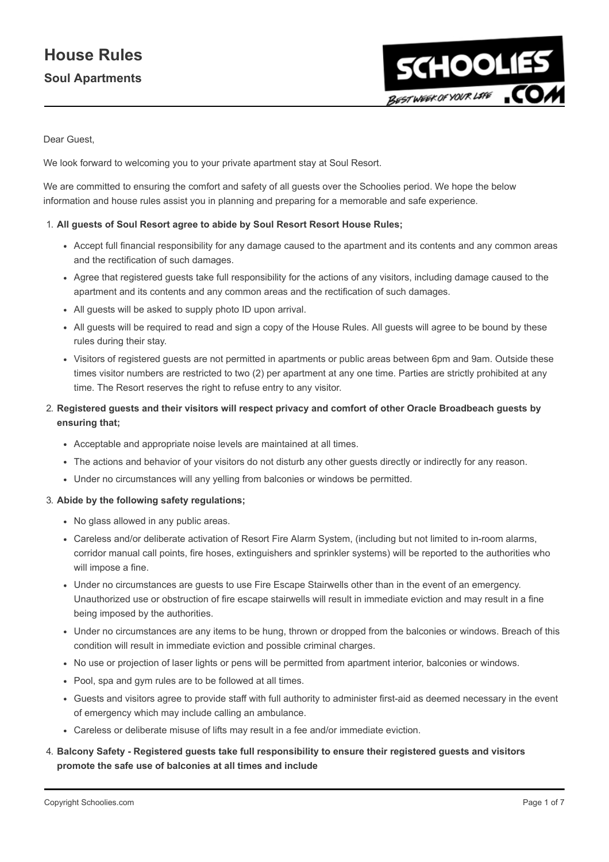# House Rules Soul Apartments



Dear Guest,

We look forward to welcoming you to your private apartment stay at Soul Resort.

We are committed to ensuring the comfort and safety of all guests over the Schoolies period. We hope the below information and house rules assist you in planning and preparing for a memorable and safe experience.

#### 1. All guests of Soul Resort agree to abide by Soul Resort Resort House Rules;

- Accept full financial responsibility for any damage caused to the apartment and its contents and any common areas and the rectification of such damages.
- Agree that registered guests take full responsibility for the actions of any visitors, including damage caused to the apartment and its contents and any common areas and the rectification of such damages.
- All guests will be asked to supply photo ID upon arrival.
- All guests will be required to read and sign a copy of the House Rules. All guests will agree to be bound by these rules during their stay.
- Visitors of registered guests are not permitted in apartments or public areas between 6pm and 9am. Outside these times visitor numbers are restricted to two (2) per apartment at any one time. Parties are strictly prohibited at any time. The Resort reserves the right to refuse entry to any visitor.
- 2. Registered guests and their visitors will respect privacy and comfort of other Oracle Broadbeach guests by ensuring that;
	- Acceptable and appropriate noise levels are maintained at all times.
	- The actions and behavior of your visitors do not disturb any other guests directly or indirectly for any reason.
	- Under no circumstances will any yelling from balconies or windows be permitted.

#### 3. Abide by the following safety regulations;

- No glass allowed in any public areas.
- Careless and/or deliberate activation of Resort Fire Alarm System, (including but not limited to in-room alarms, corridor manual call points, fire hoses, extinguishers and sprinkler systems) will be reported to the authorities who will impose a fine.
- Under no circumstances are guests to use Fire Escape Stairwells other than in the event of an emergency. Unauthorized use or obstruction of fire escape stairwells will result in immediate eviction and may result in a fine being imposed by the authorities.
- Under no circumstances are any items to be hung, thrown or dropped from the balconies or windows. Breach of this condition will result in immediate eviction and possible criminal charges.
- No use or projection of laser lights or pens will be permitted from apartment interior, balconies or windows.
- Pool, spa and gym rules are to be followed at all times.
- Guests and visitors agree to provide staff with full authority to administer first-aid as deemed necessary in the event of emergency which may include calling an ambulance.
- Careless or deliberate misuse of lifts may result in a fee and/or immediate eviction.

### 4. Balcony Safety - Registered guests take full responsibility to ensure their registered guests and visitors promote the safe use of balconies at all times and include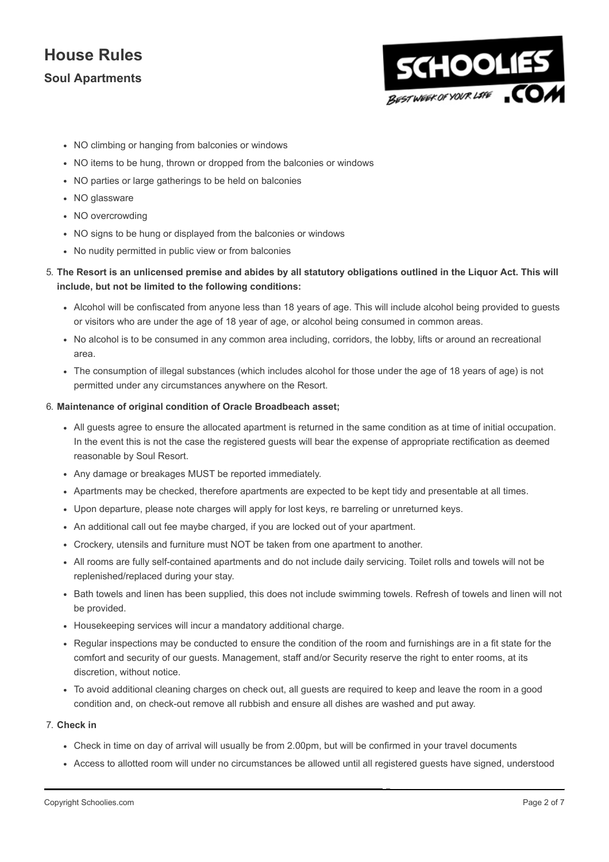## Soul Apartments



- NO climbing or hanging from balconies or windows
- NO items to be hung, thrown or dropped from the balconies or windows
- NO parties or large gatherings to be held on balconies
- NO glassware
- NO overcrowding
- NO signs to be hung or displayed from the balconies or windows
- No nudity permitted in public view or from balconies

#### 5. The Resort is an unlicensed premise and abides by all statutory obligations outlined in the Liquor Act. This will include, but not be limited to the following conditions:

- Alcohol will be confiscated from anyone less than 18 years of age. This will include alcohol being provided to guests or visitors who are under the age of 18 year of age, or alcohol being consumed in common areas.
- No alcohol is to be consumed in any common area including, corridors, the lobby, lifts or around an recreational area.
- The consumption of illegal substances (which includes alcohol for those under the age of 18 years of age) is not permitted under any circumstances anywhere on the Resort.

#### 6. Maintenance of original condition of Oracle Broadbeach asset;

- All guests agree to ensure the allocated apartment is returned in the same condition as at time of initial occupation. In the event this is not the case the registered guests will bear the expense of appropriate rectification as deemed reasonable by Soul Resort.
- Any damage or breakages MUST be reported immediately.
- Apartments may be checked, therefore apartments are expected to be kept tidy and presentable at all times.
- Upon departure, please note charges will apply for lost keys, re barreling or unreturned keys.
- An additional call out fee maybe charged, if you are locked out of your apartment.
- Crockery, utensils and furniture must NOT be taken from one apartment to another.
- All rooms are fully self-contained apartments and do not include daily servicing. Toilet rolls and towels will not be replenished/replaced during your stay.
- Bath towels and linen has been supplied, this does not include swimming towels. Refresh of towels and linen will not be provided.
- Housekeeping services will incur a mandatory additional charge.
- Regular inspections may be conducted to ensure the condition of the room and furnishings are in a fit state for the comfort and security of our guests. Management, staff and/or Security reserve the right to enter rooms, at its discretion, without notice.
- To avoid additional cleaning charges on check out, all guests are required to keep and leave the room in a good condition and, on check-out remove all rubbish and ensure all dishes are washed and put away.

#### 7. Check in

- Check in time on day of arrival will usually be from 2.00pm, but will be confirmed in your travel documents
- Access to allotted room will under no circumstances be allowed until all registered guests have signed, understood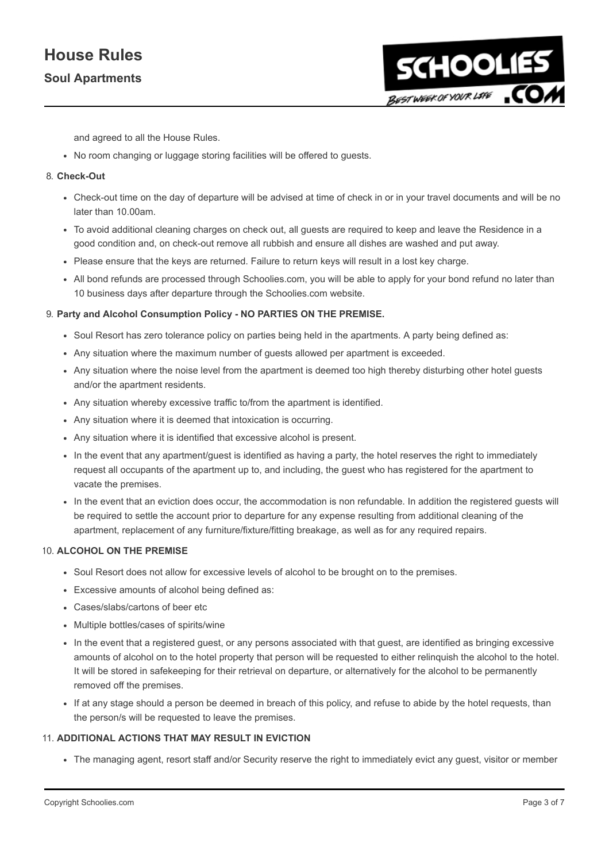### Soul Apartments



and agreed to all the House Rules.

No room changing or luggage storing facilities will be offered to guests.

#### 8. Check-Out

- Check-out time on the day of departure will be advised at time of check in or in your travel documents and will be no later than 10.00am.
- To avoid additional cleaning charges on check out, all guests are required to keep and leave the Residence in a good condition and, on check-out remove all rubbish and ensure all dishes are washed and put away.
- Please ensure that the keys are returned. Failure to return keys will result in a lost key charge.
- All bond refunds are processed through Schoolies.com, you will be able to apply for your bond refund no later than 10 business days after departure through the Schoolies.com website.

#### 9. Party and Alcohol Consumption Policy - NO PARTIES ON THE PREMISE.

- Soul Resort has zero tolerance policy on parties being held in the apartments. A party being defined as:
- Any situation where the maximum number of guests allowed per apartment is exceeded.
- Any situation where the noise level from the apartment is deemed too high thereby disturbing other hotel guests and/or the apartment residents.
- Any situation whereby excessive traffic to/from the apartment is identified.
- Any situation where it is deemed that intoxication is occurring.
- Any situation where it is identified that excessive alcohol is present.
- In the event that any apartment/guest is identified as having a party, the hotel reserves the right to immediately request all occupants of the apartment up to, and including, the guest who has registered for the apartment to vacate the premises.
- In the event that an eviction does occur, the accommodation is non refundable. In addition the registered quests will be required to settle the account prior to departure for any expense resulting from additional cleaning of the apartment, replacement of any furniture/fixture/fitting breakage, as well as for any required repairs.

#### 10. ALCOHOL ON THE PREMISE

- Soul Resort does not allow for excessive levels of alcohol to be brought on to the premises.
- Excessive amounts of alcohol being defined as:
- Cases/slabs/cartons of beer etc
- Multiple bottles/cases of spirits/wine
- In the event that a registered guest, or any persons associated with that guest, are identified as bringing excessive amounts of alcohol on to the hotel property that person will be requested to either relinquish the alcohol to the hotel. It will be stored in safekeeping for their retrieval on departure, or alternatively for the alcohol to be permanently removed off the premises.
- If at any stage should a person be deemed in breach of this policy, and refuse to abide by the hotel requests, than the person/s will be requested to leave the premises.

#### 11. ADDITIONAL ACTIONS THAT MAY RESULT IN EVICTION

The managing agent, resort staff and/or Security reserve the right to immediately evict any guest, visitor or member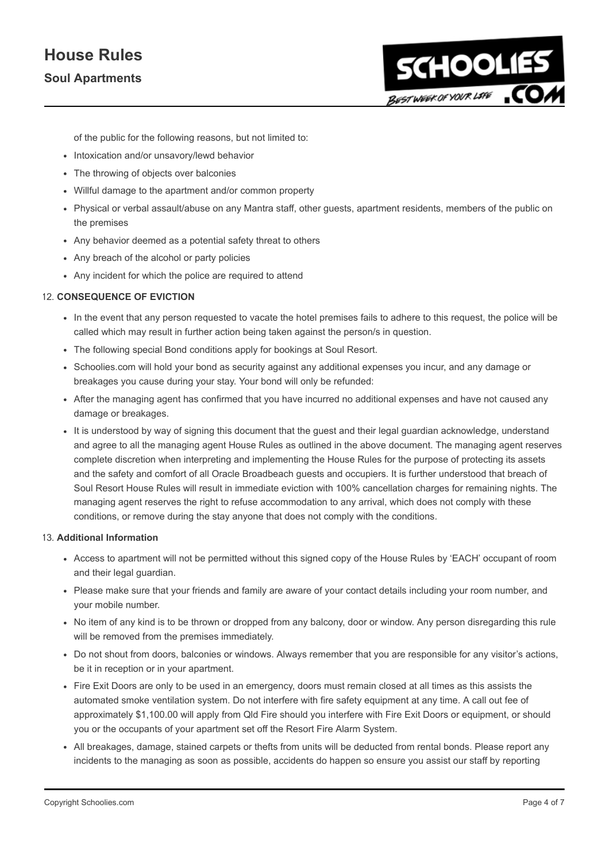## Soul Apartments



of the public for the following reasons, but not limited to:

- Intoxication and/or unsavory/lewd behavior
- The throwing of objects over balconies
- Willful damage to the apartment and/or common property
- Physical or verbal assault/abuse on any Mantra staff, other guests, apartment residents, members of the public on the premises
- Any behavior deemed as a potential safety threat to others
- Any breach of the alcohol or party policies
- Any incident for which the police are required to attend

#### 12. CONSEQUENCE OF EVICTION

- In the event that any person requested to vacate the hotel premises fails to adhere to this request, the police will be called which may result in further action being taken against the person/s in question.
- The following special Bond conditions apply for bookings at Soul Resort.
- Schoolies.com will hold your bond as security against any additional expenses you incur, and any damage or breakages you cause during your stay. Your bond will only be refunded:
- After the managing agent has confirmed that you have incurred no additional expenses and have not caused any damage or breakages.
- It is understood by way of signing this document that the guest and their legal guardian acknowledge, understand and agree to all the managing agent House Rules as outlined in the above document. The managing agent reserves complete discretion when interpreting and implementing the House Rules for the purpose of protecting its assets and the safety and comfort of all Oracle Broadbeach guests and occupiers. It is further understood that breach of Soul Resort House Rules will result in immediate eviction with 100% cancellation charges for remaining nights. The managing agent reserves the right to refuse accommodation to any arrival, which does not comply with these conditions, or remove during the stay anyone that does not comply with the conditions.

#### 13. Additional Information

- Access to apartment will not be permitted without this signed copy of the House Rules by 'EACH' occupant of room and their legal guardian.
- Please make sure that your friends and family are aware of your contact details including your room number, and your mobile number.
- No item of any kind is to be thrown or dropped from any balcony, door or window. Any person disregarding this rule will be removed from the premises immediately.
- Do not shout from doors, balconies or windows. Always remember that you are responsible for any visitor's actions, be it in reception or in your apartment.
- Fire Exit Doors are only to be used in an emergency, doors must remain closed at all times as this assists the automated smoke ventilation system. Do not interfere with fire safety equipment at any time. A call out fee of approximately \$1,100.00 will apply from Qld Fire should you interfere with Fire Exit Doors or equipment, or should you or the occupants of your apartment set off the Resort Fire Alarm System.
- All breakages, damage, stained carpets or thefts from units will be deducted from rental bonds. Please report any incidents to the managing as soon as possible, accidents do happen so ensure you assist our staff by reporting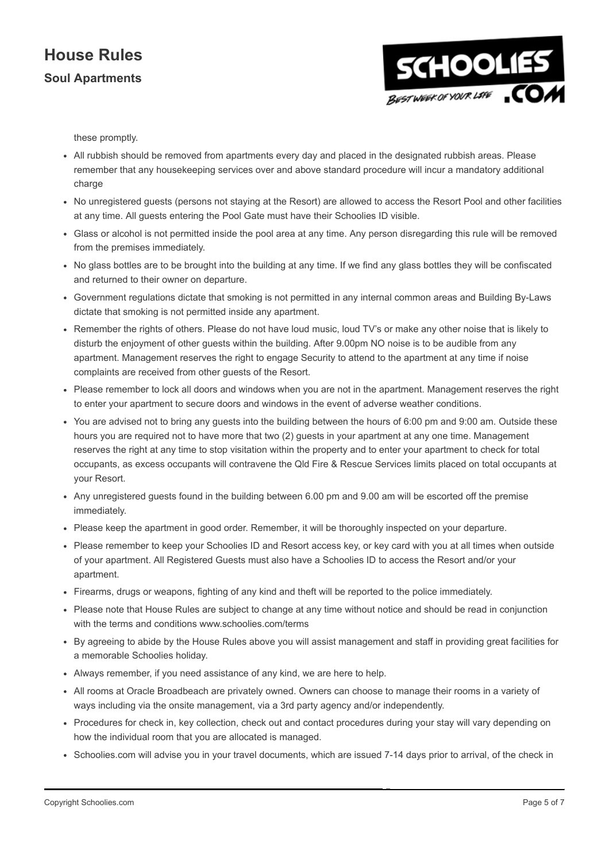## Soul Apartments



these promptly.

- All rubbish should be removed from apartments every day and placed in the designated rubbish areas. Please remember that any housekeeping services over and above standard procedure will incur a mandatory additional charge
- No unregistered guests (persons not staying at the Resort) are allowed to access the Resort Pool and other facilities at any time. All guests entering the Pool Gate must have their Schoolies ID visible.
- Glass or alcohol is not permitted inside the pool area at any time. Any person disregarding this rule will be removed from the premises immediately.
- No glass bottles are to be brought into the building at any time. If we find any glass bottles they will be confiscated and returned to their owner on departure.
- Government regulations dictate that smoking is not permitted in any internal common areas and Building By-Laws dictate that smoking is not permitted inside any apartment.
- Remember the rights of others. Please do not have loud music, loud TV's or make any other noise that is likely to disturb the enjoyment of other guests within the building. After 9.00pm NO noise is to be audible from any apartment. Management reserves the right to engage Security to attend to the apartment at any time if noise complaints are received from other guests of the Resort.
- Please remember to lock all doors and windows when you are not in the apartment. Management reserves the right to enter your apartment to secure doors and windows in the event of adverse weather conditions.
- You are advised not to bring any guests into the building between the hours of 6:00 pm and 9:00 am. Outside these hours you are required not to have more that two (2) guests in your apartment at any one time. Management reserves the right at any time to stop visitation within the property and to enter your apartment to check for total occupants, as excess occupants will contravene the Qld Fire & Rescue Services limits placed on total occupants at your Resort.
- Any unregistered guests found in the building between 6.00 pm and 9.00 am will be escorted off the premise immediately.
- Please keep the apartment in good order. Remember, it will be thoroughly inspected on your departure.
- Please remember to keep your Schoolies ID and Resort access key, or key card with you at all times when outside of your apartment. All Registered Guests must also have a Schoolies ID to access the Resort and/or your apartment.
- Firearms, drugs or weapons, fighting of any kind and theft will be reported to the police immediately.
- Please note that House Rules are subject to change at any time without notice and should be read in conjunction with the terms and conditions www.schoolies.com/terms
- By agreeing to abide by the House Rules above you will assist management and staff in providing great facilities for a memorable Schoolies holiday.
- Always remember, if you need assistance of any kind, we are here to help.
- All rooms at Oracle Broadbeach are privately owned. Owners can choose to manage their rooms in a variety of ways including via the onsite management, via a 3rd party agency and/or independently.
- Procedures for check in, key collection, check out and contact procedures during your stay will vary depending on how the individual room that you are allocated is managed.
- Schoolies.com will advise you in your travel documents, which are issued 7-14 days prior to arrival, of the check in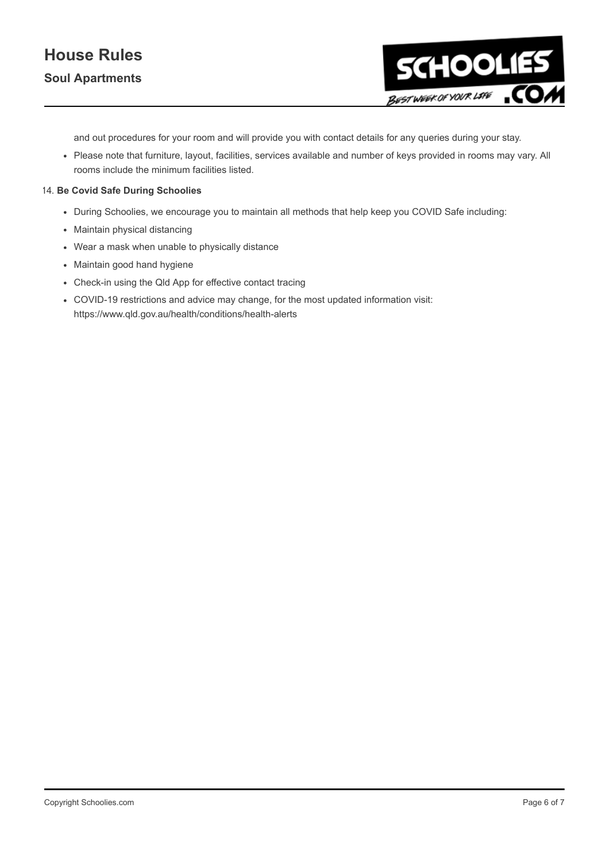

and out procedures for your room and will provide you with contact details for any queries during your stay.

Please note that furniture, layout, facilities, services available and number of keys provided in rooms may vary. All rooms include the minimum facilities listed.

#### 14. Be Covid Safe During Schoolies

- During Schoolies, we encourage you to maintain all methods that help keep you COVID Safe including:
- Maintain physical distancing
- Wear a mask when unable to physically distance
- Maintain good hand hygiene
- Check-in using the Qld App for effective contact tracing
- COVID-19 restrictions and advice may change, for the most updated information visit: https://www.qld.gov.au/health/conditions/health-alerts